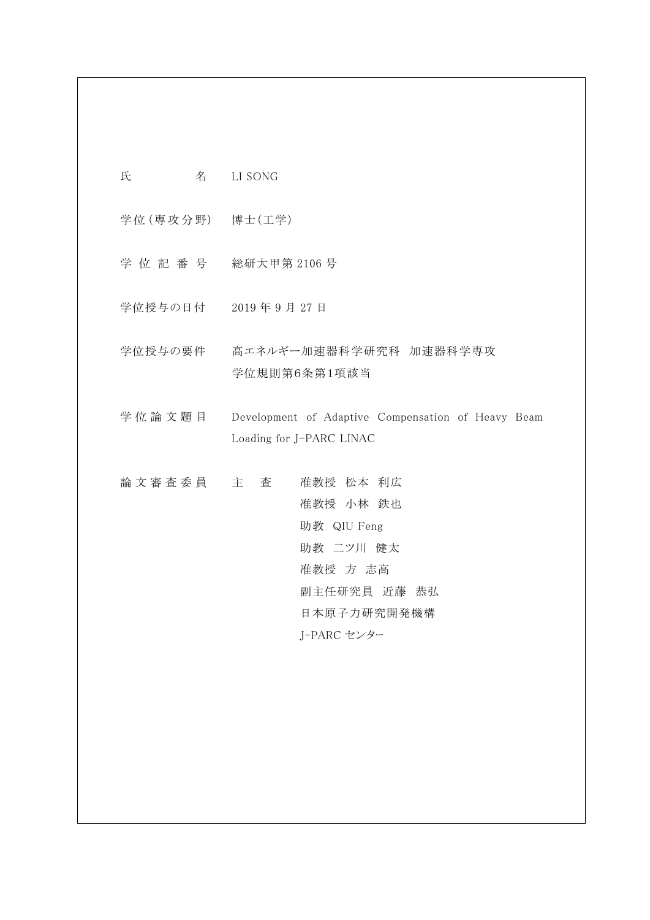氏 名 LI SONG

学位(専攻分野) 博士(工学)

- 学位記番号 総研大甲第 2106 号
- 学位授与の日付 2019 年 9 月 27 日
- 学位授与の要件 高エネルギー加速器科学研究科 加速器科学専攻 学位規則第6条第1項該当
- 学位論文題 目 Development of Adaptive Compensation of Heavy Beam Loading for J-PARC LINAC
- 論文審査委員 主 査 准教授 松本 利広 准教授 小林 鉄也 助教 QIU Feng 助教 二ツ川 健太 准教授 方 志高 副主任研究員 近藤 恭弘 日本原子力研究開発機構 J-PARC センター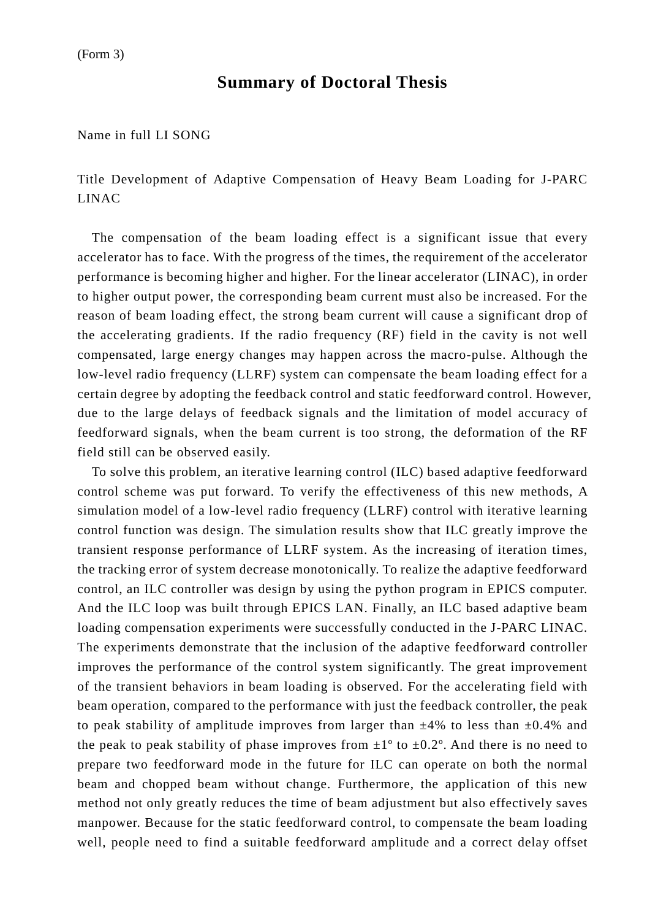## **Summary of Doctoral Thesis**

Name in full LI SONG

Title Development of Adaptive Compensation of Heavy Beam Loading for J-PARC LINAC

 The compensation of the beam loading effect is a significant issue that every accelerator has to face. With the progress of the times, the requirement of the accelerator performance is becoming higher and higher. For the linear accelerator (LINAC), in order to higher output power, the corresponding beam current must also be increased. For the reason of beam loading effect, the strong beam current will cause a significant drop of the accelerating gradients. If the radio frequency (RF) field in the cavity is not well compensated, large energy changes may happen across the macro-pulse. Although the low-level radio frequency (LLRF) system can compensate the beam loading effect for a certain degree by adopting the feedback control and static feedforward control. However, due to the large delays of feedback signals and the limitation of model accuracy of feedforward signals, when the beam current is too strong, the deformation of the RF field still can be observed easily.

To solve this problem, an iterative learning control (ILC) based adaptive feedforward control scheme was put forward. To verify the effectiveness of this new methods, A simulation model of a low-level radio frequency (LLRF) control with iterative learning control function was design. The simulation results show that ILC greatly improve the transient response performance of LLRF system. As the increasing of iteration times, the tracking error of system decrease monotonically. To realize the adaptive feedforward control, an ILC controller was design by using the python program in EPICS computer. And the ILC loop was built through EPICS LAN. Finally, an ILC based adaptive beam loading compensation experiments were successfully conducted in the J-PARC LINAC. The experiments demonstrate that the inclusion of the adaptive feedforward controller improves the performance of the control system significantly. The great improvement of the transient behaviors in beam loading is observed. For the accelerating field with beam operation, compared to the performance with just the feedback controller, the peak to peak stability of amplitude improves from larger than  $\pm 4\%$  to less than  $\pm 0.4\%$  and the peak to peak stability of phase improves from  $\pm 1^{\circ}$  to  $\pm 0.2^{\circ}$ . And there is no need to prepare two feedforward mode in the future for ILC can operate on both the normal beam and chopped beam without change. Furthermore, the application of this new method not only greatly reduces the time of beam adjustment but also effectively saves manpower. Because for the static feedforward control, to compensate the beam loading well, people need to find a suitable feedforward amplitude and a correct delay offset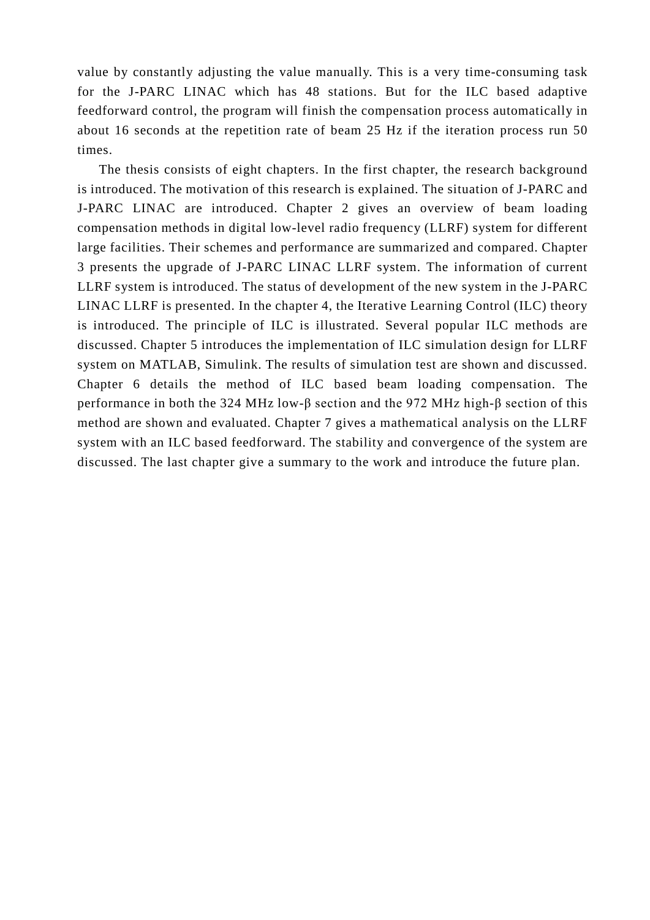value by constantly adjusting the value manually. This is a very time-consuming task for the J-PARC LINAC which has 48 stations. But for the ILC based adaptive feedforward control, the program will finish the compensation process automatically in about 16 seconds at the repetition rate of beam 25 Hz if the iteration process run 50 times.

The thesis consists of eight chapters. In the first chapter, the research background is introduced. The motivation of this research is explained. The situation of J-PARC and J-PARC LINAC are introduced. Chapter 2 gives an overview of beam loading compensation methods in digital low-level radio frequency (LLRF) system for different large facilities. Their schemes and performance are summarized and compared. Chapter 3 presents the upgrade of J-PARC LINAC LLRF system. The information of current LLRF system is introduced. The status of development of the new system in the J-PARC LINAC LLRF is presented. In the chapter 4, the Iterative Learning Control (ILC) theory is introduced. The principle of ILC is illustrated. Several popular ILC methods are discussed. Chapter 5 introduces the implementation of ILC simulation design for LLRF system on MATLAB, Simulink. The results of simulation test are shown and discussed. Chapter 6 details the method of ILC based beam loading compensation. The performance in both the 324 MHz low-β section and the 972 MHz high-β section of this method are shown and evaluated. Chapter 7 gives a mathematical analysis on the LLRF system with an ILC based feedforward. The stability and convergence of the system are discussed. The last chapter give a summary to the work and introduce the future plan.